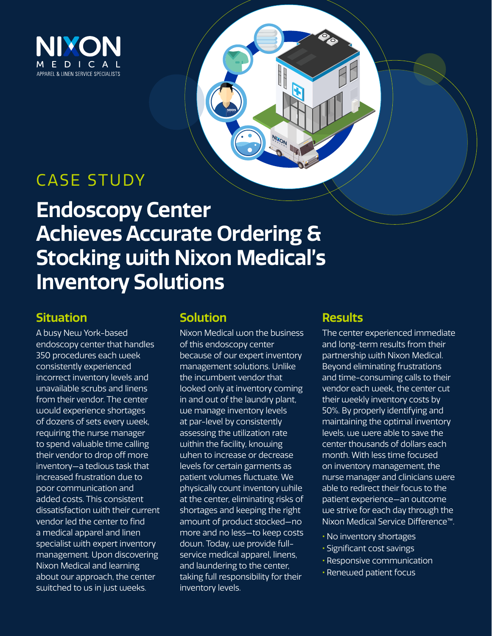

## CASE STUDY

# **Endoscopy Center Achieves Accurate Ordering & Stocking with Nixon Medical's Inventory Solutions**

## **Situation**

A busy New York-based endoscopy center that handles 350 procedures each week consistently experienced incorrect inventory levels and unavailable scrubs and linens from their vendor. The center would experience shortages of dozens of sets every week, requiring the nurse manager to spend valuable time calling their vendor to drop off more inventory—a tedious task that increased frustration due to poor communication and added costs. This consistent dissatisfaction with their current vendor led the center to find a medical apparel and linen specialist with expert inventory management. Upon discovering Nixon Medical and learning about our approach, the center switched to us in just weeks.

### **Solution**

Nixon Medical won the business of this endoscopy center because of our expert inventory management solutions. Unlike the incumbent vendor that looked only at inventory coming in and out of the laundry plant, we manage inventory levels at par-level by consistently assessing the utilization rate within the facility, knowing when to increase or decrease levels for certain garments as patient volumes fluctuate. We physically count inventory while at the center, eliminating risks of shortages and keeping the right amount of product stocked—no more and no less—to keep costs down. Today, we provide fullservice medical apparel, linens, and laundering to the center, taking full responsibility for their inventory levels.

## **Results**

The center experienced immediate and long-term results from their partnership with Nixon Medical. Beyond eliminating frustrations and time-consuming calls to their vendor each week, the center cut their weekly inventory costs by 50%. By properly identifying and maintaining the optimal inventory levels, we were able to save the center thousands of dollars each month. With less time focused on inventory management, the nurse manager and clinicians were able to redirect their focus to the patient experience—an outcome we strive for each day through the Nixon Medical Service Difference™.

- **•** No inventory shortages
- **•** Significant cost savings
- **•** Responsive communication
- **•** Renewed patient focus